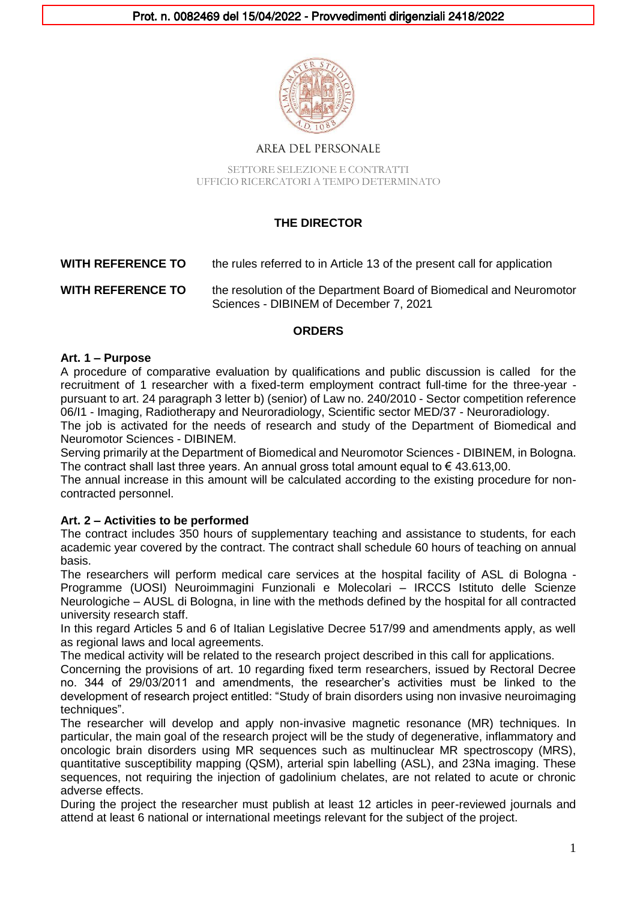

## **AREA DEL PERSONALE**

SETTORE SELEZIONE E CONTRATTI UFFICIO RICERCATORI A TEMPO DETERMINATO

# **THE DIRECTOR**

### **WITH REFERENCE TO** the rules referred to in Article 13 of the present call for application

**WITH REFERENCE TO** the resolution of the Department Board of Biomedical and Neuromotor Sciences - DIBINEM of December 7, 2021

### **ORDERS**

#### **Art. 1 – Purpose**

A procedure of comparative evaluation by qualifications and public discussion is called for the recruitment of 1 researcher with a fixed-term employment contract full-time for the three-year pursuant to art. 24 paragraph 3 letter b) (senior) of Law no. 240/2010 - Sector competition reference 06/I1 - Imaging, Radiotherapy and Neuroradiology, Scientific sector MED/37 - Neuroradiology.

The job is activated for the needs of research and study of the Department of Biomedical and Neuromotor Sciences - DIBINEM.

Serving primarily at the Department of Biomedical and Neuromotor Sciences - DIBINEM, in Bologna. The contract shall last three years. An annual gross total amount equal to  $\epsilon$  43.613,00.

The annual increase in this amount will be calculated according to the existing procedure for noncontracted personnel.

#### **Art. 2 – Activities to be performed**

The contract includes 350 hours of supplementary teaching and assistance to students, for each academic year covered by the contract. The contract shall schedule 60 hours of teaching on annual basis.

The researchers will perform medical care services at the hospital facility of ASL di Bologna - Programme (UOSI) Neuroimmagini Funzionali e Molecolari – IRCCS Istituto delle Scienze Neurologiche – AUSL di Bologna, in line with the methods defined by the hospital for all contracted university research staff.

In this regard Articles 5 and 6 of Italian Legislative Decree 517/99 and amendments apply, as well as regional laws and local agreements.

The medical activity will be related to the research project described in this call for applications.

Concerning the provisions of art. 10 regarding fixed term researchers, issued by Rectoral Decree no. 344 of 29/03/2011 and amendments, the researcher's activities must be linked to the development of research project entitled: "Study of brain disorders using non invasive neuroimaging techniques".

The researcher will develop and apply non-invasive magnetic resonance (MR) techniques. In particular, the main goal of the research project will be the study of degenerative, inflammatory and oncologic brain disorders using MR sequences such as multinuclear MR spectroscopy (MRS), quantitative susceptibility mapping (QSM), arterial spin labelling (ASL), and 23Na imaging. These sequences, not requiring the injection of gadolinium chelates, are not related to acute or chronic adverse effects.

During the project the researcher must publish at least 12 articles in peer-reviewed journals and attend at least 6 national or international meetings relevant for the subject of the project.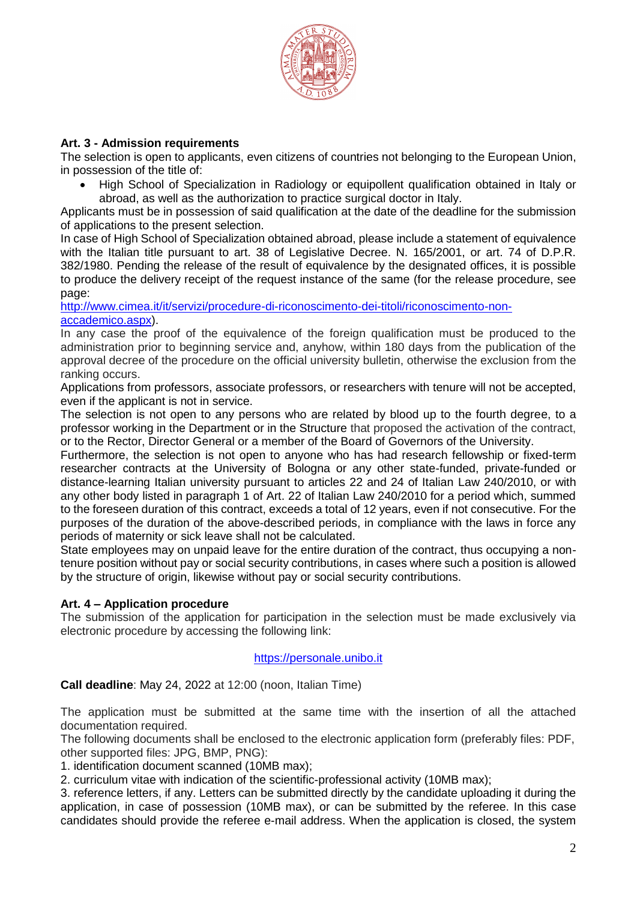

# **Art. 3 - Admission requirements**

The selection is open to applicants, even citizens of countries not belonging to the European Union, in possession of the title of:

• High School of Specialization in Radiology or equipollent qualification obtained in Italy or abroad, as well as the authorization to practice surgical doctor in Italy.

Applicants must be in possession of said qualification at the date of the deadline for the submission of applications to the present selection.

In case of High School of Specialization obtained abroad, please include a statement of equivalence with the Italian title pursuant to art. 38 of Legislative Decree. N. 165/2001, or art. 74 of D.P.R. 382/1980. Pending the release of the result of equivalence by the designated offices, it is possible to produce the delivery receipt of the request instance of the same (for the release procedure, see page:

[http://www.cimea.it/it/servizi/procedure-di-riconoscimento-dei-titoli/riconoscimento-non](http://www.cimea.it/it/servizi/procedure-di-riconoscimento-dei-titoli/riconoscimento-non-accademico.aspx)[accademico.aspx\)](http://www.cimea.it/it/servizi/procedure-di-riconoscimento-dei-titoli/riconoscimento-non-accademico.aspx).

In any case the proof of the equivalence of the foreign qualification must be produced to the administration prior to beginning service and, anyhow, within 180 days from the publication of the approval decree of the procedure on the official university bulletin, otherwise the exclusion from the ranking occurs.

Applications from professors, associate professors, or researchers with tenure will not be accepted, even if the applicant is not in service.

The selection is not open to any persons who are related by blood up to the fourth degree, to a professor working in the Department or in the Structure that proposed the activation of the contract, or to the Rector, Director General or a member of the Board of Governors of the University.

Furthermore, the selection is not open to anyone who has had research fellowship or fixed-term researcher contracts at the University of Bologna or any other state-funded, private-funded or distance-learning Italian university pursuant to articles 22 and 24 of Italian Law 240/2010, or with any other body listed in paragraph 1 of Art. 22 of Italian Law 240/2010 for a period which, summed to the foreseen duration of this contract, exceeds a total of 12 years, even if not consecutive. For the purposes of the duration of the above-described periods, in compliance with the laws in force any periods of maternity or sick leave shall not be calculated.

State employees may on unpaid leave for the entire duration of the contract, thus occupying a nontenure position without pay or social security contributions, in cases where such a position is allowed by the structure of origin, likewise without pay or social security contributions.

# **Art. 4 – Application procedure**

The submission of the application for participation in the selection must be made exclusively via electronic procedure by accessing the following link:

#### https://personale.unibo.it

**Call deadline**: May 24, 2022 at 12:00 (noon, Italian Time)

The application must be submitted at the same time with the insertion of all the attached documentation required.

The following documents shall be enclosed to the electronic application form (preferably files: PDF, other supported files: JPG, BMP, PNG):

1. identification document scanned (10MB max);

2. curriculum vitae with indication of the scientific-professional activity (10MB max);

3. reference letters, if any. Letters can be submitted directly by the candidate uploading it during the application, in case of possession (10MB max), or can be submitted by the referee. In this case candidates should provide the referee e-mail address. When the application is closed, the system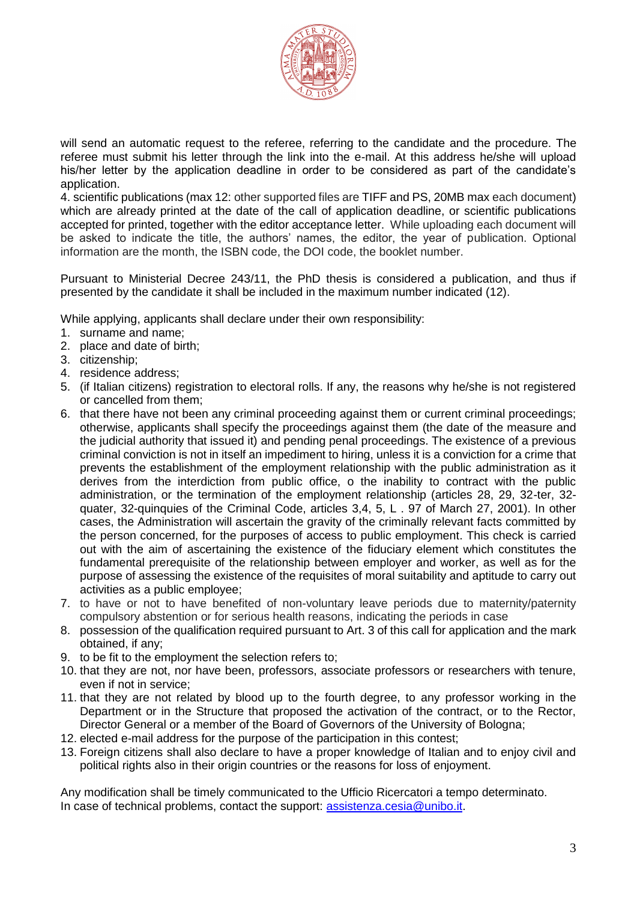

will send an automatic request to the referee, referring to the candidate and the procedure. The referee must submit his letter through the link into the e-mail. At this address he/she will upload his/her letter by the application deadline in order to be considered as part of the candidate's application.

4. scientific publications (max 12: other supported files are TIFF and PS, 20MB max each document) which are already printed at the date of the call of application deadline, or scientific publications accepted for printed, together with the editor acceptance letter. While uploading each document will be asked to indicate the title, the authors' names, the editor, the year of publication. Optional information are the month, the ISBN code, the DOI code, the booklet number.

Pursuant to Ministerial Decree 243/11, the PhD thesis is considered a publication, and thus if presented by the candidate it shall be included in the maximum number indicated (12).

While applying, applicants shall declare under their own responsibility:

- 1. surname and name;
- 2. place and date of birth;
- 3. citizenship;
- 4. residence address;
- 5. (if Italian citizens) registration to electoral rolls. If any, the reasons why he/she is not registered or cancelled from them;
- 6. that there have not been any criminal proceeding against them or current criminal proceedings; otherwise, applicants shall specify the proceedings against them (the date of the measure and the judicial authority that issued it) and pending penal proceedings. The existence of a previous criminal conviction is not in itself an impediment to hiring, unless it is a conviction for a crime that prevents the establishment of the employment relationship with the public administration as it derives from the interdiction from public office, o the inability to contract with the public administration, or the termination of the employment relationship (articles 28, 29, 32-ter, 32 quater, 32-quinquies of the Criminal Code, articles 3,4, 5, L . 97 of March 27, 2001). In other cases, the Administration will ascertain the gravity of the criminally relevant facts committed by the person concerned, for the purposes of access to public employment. This check is carried out with the aim of ascertaining the existence of the fiduciary element which constitutes the fundamental prerequisite of the relationship between employer and worker, as well as for the purpose of assessing the existence of the requisites of moral suitability and aptitude to carry out activities as a public employee;
- 7. to have or not to have benefited of non-voluntary leave periods due to maternity/paternity compulsory abstention or for serious health reasons, indicating the periods in case
- 8. possession of the qualification required pursuant to Art. 3 of this call for application and the mark obtained, if any;
- 9. to be fit to the employment the selection refers to;
- 10. that they are not, nor have been, professors, associate professors or researchers with tenure, even if not in service;
- 11. that they are not related by blood up to the fourth degree, to any professor working in the Department or in the Structure that proposed the activation of the contract, or to the Rector, Director General or a member of the Board of Governors of the University of Bologna;
- 12. elected e-mail address for the purpose of the participation in this contest;
- 13. Foreign citizens shall also declare to have a proper knowledge of Italian and to enjoy civil and political rights also in their origin countries or the reasons for loss of enjoyment.

Any modification shall be timely communicated to the Ufficio Ricercatori a tempo determinato. In case of technical problems, contact the support: [assistenza.cesia@unibo.it.](mailto:assistenza.cesia@unibo.it)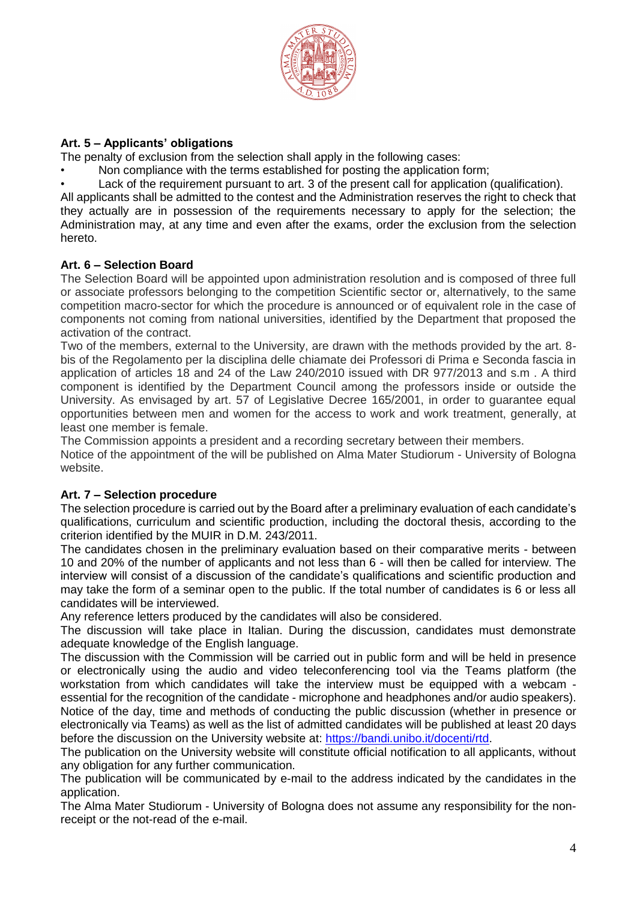

# **Art. 5 – Applicants' obligations**

The penalty of exclusion from the selection shall apply in the following cases:

- Non compliance with the terms established for posting the application form;
- Lack of the requirement pursuant to art. 3 of the present call for application (qualification).

All applicants shall be admitted to the contest and the Administration reserves the right to check that they actually are in possession of the requirements necessary to apply for the selection; the Administration may, at any time and even after the exams, order the exclusion from the selection hereto.

### **Art. 6 – Selection Board**

The Selection Board will be appointed upon administration resolution and is composed of three full or associate professors belonging to the competition Scientific sector or, alternatively, to the same competition macro-sector for which the procedure is announced or of equivalent role in the case of components not coming from national universities, identified by the Department that proposed the activation of the contract.

Two of the members, external to the University, are drawn with the methods provided by the art. 8 bis of the Regolamento per la disciplina delle chiamate dei Professori di Prima e Seconda fascia in application of articles 18 and 24 of the Law 240/2010 issued with DR 977/2013 and s.m . A third component is identified by the Department Council among the professors inside or outside the University. As envisaged by art. 57 of Legislative Decree 165/2001, in order to guarantee equal opportunities between men and women for the access to work and work treatment, generally, at least one member is female.

The Commission appoints a president and a recording secretary between their members.

Notice of the appointment of the will be published on Alma Mater Studiorum - University of Bologna website.

#### **Art. 7 – Selection procedure**

The selection procedure is carried out by the Board after a preliminary evaluation of each candidate's qualifications, curriculum and scientific production, including the doctoral thesis, according to the criterion identified by the MUIR in D.M. 243/2011.

The candidates chosen in the preliminary evaluation based on their comparative merits - between 10 and 20% of the number of applicants and not less than 6 - will then be called for interview. The interview will consist of a discussion of the candidate's qualifications and scientific production and may take the form of a seminar open to the public. If the total number of candidates is 6 or less all candidates will be interviewed.

Any reference letters produced by the candidates will also be considered.

The discussion will take place in Italian. During the discussion, candidates must demonstrate adequate knowledge of the English language.

The discussion with the Commission will be carried out in public form and will be held in presence or electronically using the audio and video teleconferencing tool via the Teams platform (the workstation from which candidates will take the interview must be equipped with a webcam essential for the recognition of the candidate - microphone and headphones and/or audio speakers). Notice of the day, time and methods of conducting the public discussion (whether in presence or

electronically via Teams) as well as the list of admitted candidates will be published at least 20 days before the discussion on the University website at: [https://bandi.unibo.it/docenti/rtd.](https://bandi.unibo.it/docenti/rtd)

The publication on the University website will constitute official notification to all applicants, without any obligation for any further communication.

The publication will be communicated by e-mail to the address indicated by the candidates in the application.

The Alma Mater Studiorum - University of Bologna does not assume any responsibility for the nonreceipt or the not-read of the e-mail.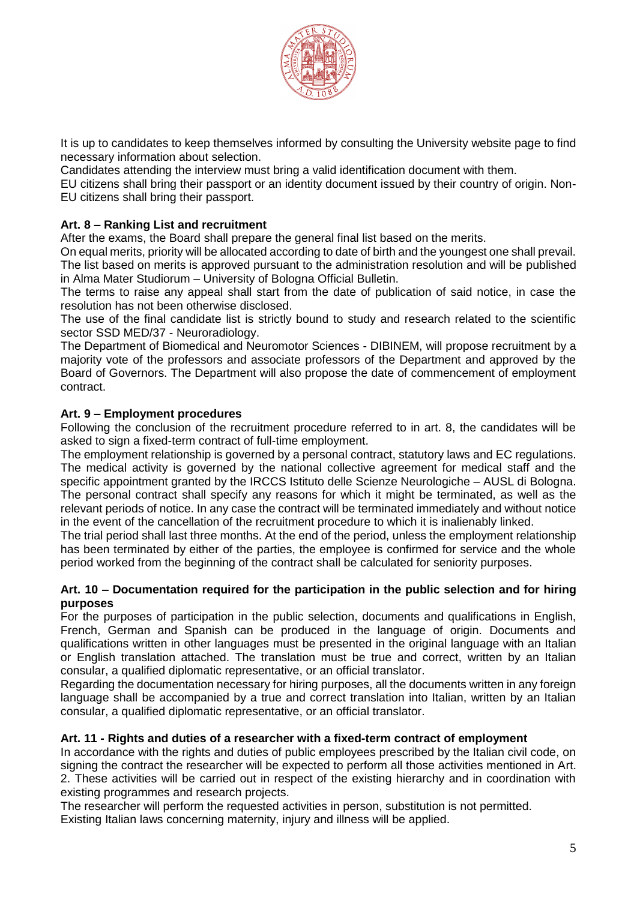

It is up to candidates to keep themselves informed by consulting the University website page to find necessary information about selection.

Candidates attending the interview must bring a valid identification document with them.

EU citizens shall bring their passport or an identity document issued by their country of origin. Non-EU citizens shall bring their passport.

# **Art. 8 – Ranking List and recruitment**

After the exams, the Board shall prepare the general final list based on the merits.

On equal merits, priority will be allocated according to date of birth and the youngest one shall prevail. The list based on merits is approved pursuant to the administration resolution and will be published

in Alma Mater Studiorum – University of Bologna Official Bulletin.

The terms to raise any appeal shall start from the date of publication of said notice, in case the resolution has not been otherwise disclosed.

The use of the final candidate list is strictly bound to study and research related to the scientific sector SSD MED/37 - Neuroradiology.

The Department of Biomedical and Neuromotor Sciences - DIBINEM, will propose recruitment by a majority vote of the professors and associate professors of the Department and approved by the Board of Governors. The Department will also propose the date of commencement of employment contract.

### **Art. 9 – Employment procedures**

Following the conclusion of the recruitment procedure referred to in art. 8, the candidates will be asked to sign a fixed-term contract of full-time employment.

The employment relationship is governed by a personal contract, statutory laws and EC regulations. The medical activity is governed by the national collective agreement for medical staff and the specific appointment granted by the IRCCS Istituto delle Scienze Neurologiche – AUSL di Bologna. The personal contract shall specify any reasons for which it might be terminated, as well as the relevant periods of notice. In any case the contract will be terminated immediately and without notice in the event of the cancellation of the recruitment procedure to which it is inalienably linked.

The trial period shall last three months. At the end of the period, unless the employment relationship has been terminated by either of the parties, the employee is confirmed for service and the whole period worked from the beginning of the contract shall be calculated for seniority purposes.

#### **Art. 10 – Documentation required for the participation in the public selection and for hiring purposes**

For the purposes of participation in the public selection, documents and qualifications in English, French, German and Spanish can be produced in the language of origin. Documents and qualifications written in other languages must be presented in the original language with an Italian or English translation attached. The translation must be true and correct, written by an Italian consular, a qualified diplomatic representative, or an official translator.

Regarding the documentation necessary for hiring purposes, all the documents written in any foreign language shall be accompanied by a true and correct translation into Italian, written by an Italian consular, a qualified diplomatic representative, or an official translator.

#### **Art. 11 - Rights and duties of a researcher with a fixed-term contract of employment**

In accordance with the rights and duties of public employees prescribed by the Italian civil code, on signing the contract the researcher will be expected to perform all those activities mentioned in Art. 2. These activities will be carried out in respect of the existing hierarchy and in coordination with existing programmes and research projects.

The researcher will perform the requested activities in person, substitution is not permitted. Existing Italian laws concerning maternity, injury and illness will be applied.